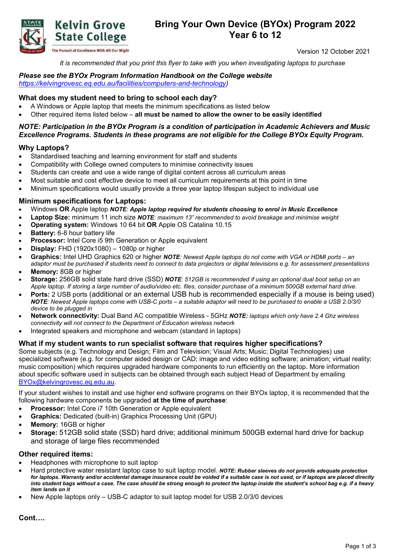

# **Bring Your Own Device (BYOx) Program 2022 Year 6 to 12**

Version 12 October 2021

*It is recommended that you print this flyer to take with you when investigating laptops to purchase*

# *Please see the BYOx Program Information Handbook on the College website*

*[https://kelvingrovesc.eq.edu.au/facilities/computers-and-technology\)](https://kelvingrovesc.eq.edu.au/facilities/computers-and-technology)*

# **What does my student need to bring to school each day?**

- A Windows or Apple laptop that meets the minimum specifications as listed below
- Other required items listed below **all must be named to allow the owner to be easily identified**

### *NOTE: Participation in the BYOx Program is a condition of participation in Academic Achievers and Music Excellence Programs. Students in these programs are not eligible for the College BYOx Equity Program.*

### **Why Laptops?**

- Standardised teaching and learning environment for staff and students
- Compatibility with College owned computers to minimise connectivity issues
- Students can create and use a wide range of digital content across all curriculum areas
- Most suitable and cost effective device to meet all curriculum requirements at this point in time
- Minimum specifications would usually provide a three year laptop lifespan subject to individual use

### **Minimum specifications for Laptops:**

- Windows **OR** Apple laptop *NOTE: Apple laptop required for students choosing to enrol in Music Excellence*
- **Laptop Size:** minimum 11 inch size *NOTE: maximum 13" recommended to avoid breakage and minimise weight*
- **Operating system:** Windows 10 64 bit **OR** Apple OS Catalina 10.15
- **Battery: 6-8 hour battery life**
- **Processor:** Intel Core i5 9th Generation or Apple equivalent
- **Display:** FHD (1920x1080) 1080p or higher
- **Graphics:** Intel UHD Graphics 620 or higher *NOTE: Newest Apple laptops do not come with VGA or HDMI ports an adaptor must be purchased if students need to connect to data projectors or digital televisions e.g. for assessment presentations*
- **Memory:** 8GB or higher
- **Storage:** 256GB solid state hard drive (SSD) *NOTE: 512GB is recommended if using an optional dual boot setup on an Apple laptop. If storing a large number of audio/video etc. files, consider purchase of a minimum 500GB external hard drive.*
- **Ports:** 2 USB ports (additional or an external USB hub is recommended especially if a mouse is being used) *NOTE: Newest Apple laptops come with USB-C ports – a suitable adaptor will need to be purchased to enable a USB 2.0/3/0 device to be plugged in*
- **Network connectivity:** Dual Band AC compatible Wireless 5GHz *NOTE: laptops which only have 2.4 Ghz wireless connectivity will not connect to the Department of Education wireless network*
- Integrated speakers and microphone and webcam (standard in laptops)

#### **What if my student wants to run specialist software that requires higher specifications?**

Some subjects (e.g. Technology and Design; Film and Television; Visual Arts; Music; Digital Technologies) use specialized software (e.g. for computer aided design or CAD; image and video editing software; animation; virtual reality; music composition) which requires upgraded hardware components to run efficiently on the laptop. More information about specific software used in subjects can be obtained through each subject Head of Department by emailing [BYOx@kelvingrovesc.eq.edu.au.](mailto:BYOx@kelvingrovesc.eq.edu.au)

If your student wishes to install and use higher end software programs on their BYOx laptop, it is recommended that the following hardware components be upgraded **at the time of purchase**:

- **Processor:** Intel Core i7 10th Generation or Apple equivalent
- **Graphics:** Dedicated (built-in) Graphics Processing Unit (GPU)
- **Memory:** 16GB or higher
- **Storage:** 512GB solid state (SSD) hard drive; additional minimum 500GB external hard drive for backup and storage of large files recommended

#### **Other required items:**

- Headphones with microphone to suit laptop
- Hard protective water resistant laptop case to suit laptop model. *NOTE: Rubber sleeves do not provide adequate protection for laptops. Warranty and/or accidental damage insurance could be voided if a suitable case is not used, or if laptops are placed directly into student bags without a case. The case should be strong enough to protect the laptop inside the student's school bag e.g. if a heavy item lands on it*
- New Apple laptops only USB-C adaptor to suit laptop model for USB 2.0/3/0 devices

**Cont….**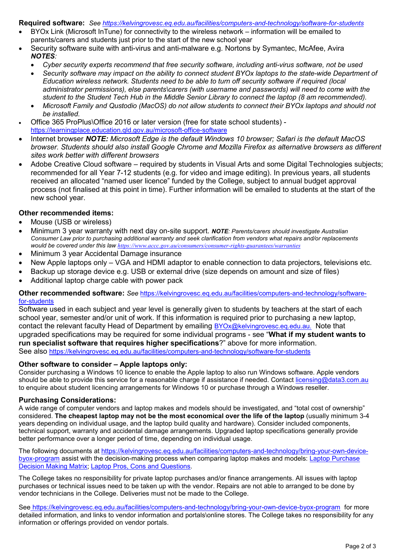**Required software:** *See<https://kelvingrovesc.eq.edu.au/facilities/computers-and-technology/software-for-students>*

- BYOx Link (Microsoft InTune) for connectivity to the wireless network information will be emailed to parents/carers and students just prior to the start of the new school year
- Security software suite with anti-virus and anti-malware e.g. Nortons by Symantec, McAfee, Avira *NOTES:* 
	- *Cyber security experts recommend that free security software, including anti-virus software, not be used*
	- *Security software may impact on the ability to connect student BYOx laptops to the state-wide Department of Education wireless network. Students need to be able to turn off security software if required (local administrator permissions), else parents\carers (with username and passwords) will need to come with the student to the Student Tech Hub in the Middle Senior Library to connect the laptop (8 am recommended).*
	- *Microsoft Family and Qustodio (MacOS) do not allow students to connect their BYOx laptops and should not be installed.*
- Office 365 ProPlus\Office 2016 or later version (free for state school students) <https://learningplace.education.qld.gov.au/microsoft-office-software>
- Internet browser *NOTE: Microsoft Edge is the default Windows 10 browser; Safari is the default MacOS browser. Students should also install Google Chrome and Mozilla Firefox as alternative browsers as different sites work better with different browsers*
- Adobe Creative Cloud software required by students in Visual Arts and some Digital Technologies subjects; recommended for all Year 7-12 students (e.g. for video and image editing). In previous years, all students received an allocated "named user licence" funded by the College, subject to annual budget approval process (not finalised at this point in time). Further information will be emailed to students at the start of the new school year.

# **Other recommended items:**

- Mouse (USB or wireless)
- Minimum 3 year warranty with next day on-site support. *NOTE: Parents/carers should investigate Australian Consumer Law prior to purchasing additional warranty and seek clarification from vendors what repairs and/or replacements would be covered under this law <https://www.accc.gov.au/consumers/consumer-rights-guarantees/warranties>*
- Minimum 3 year Accidental Damage insurance
- New Apple laptops only VGA and HDMI adaptor to enable connection to data projectors, televisions etc.
- Backup up storage device e.g. USB or external drive (size depends on amount and size of files)
- Additional laptop charge cable with power pack

**Other recommended software:** *See* [https://kelvingrovesc.eq.edu.au/facilities/computers-and-technology/software](https://kelvingrovesc.eq.edu.au/facilities/computers-and-technology/software-for-students)[for-students](https://kelvingrovesc.eq.edu.au/facilities/computers-and-technology/software-for-students)

Software used in each subject and year level is generally given to students by teachers at the start of each school year, semester and/or unit of work. If this information is required prior to purchasing a new laptop, contact the relevant faculty Head of Department by emailing [BYOx@kelvingrovesc.eq.edu.au](mailto:BYOx@kelvingrovesc.eq.edu.au). Note that upgraded specifications may be required for some individual programs - see "**What if my student wants to run specialist software that requires higher specifications**?" above for more information. See also<https://kelvingrovesc.eq.edu.au/facilities/computers-and-technology/software-for-students>

### **Other software to consider – Apple laptops only:**

Consider purchasing a Windows 10 licence to enable the Apple laptop to also run Windows software. Apple vendors should be able to provide this service for a reasonable charge if assistance if needed. Contact [licensing@data3.com.au](mailto:licensing@data3.com.au) to enquire about student licencing arrangements for Windows 10 or purchase through a Windows reseller.

### **Purchasing Considerations:**

A wide range of computer vendors and laptop makes and models should be investigated, and "total cost of ownership" considered. **The cheapest laptop may not be the most economical over the life of the laptop** (usually minimum 3-4 years depending on individual usage, and the laptop build quality and hardware). Consider included components, technical support, warranty and accidental damage arrangements. Upgraded laptop specifications generally provide better performance over a longer period of time, depending on individual usage.

The following documents at [https://kelvingrovesc.eq.edu.au/facilities/computers-and-technology/bring-your-own-device](https://kelvingrovesc.eq.edu.au/facilities/computers-and-technology/bring-your-own-device-byox-program)[byox-program](https://kelvingrovesc.eq.edu.au/facilities/computers-and-technology/bring-your-own-device-byox-program) assist with the decision-making process when comparing laptop makes and models: [Laptop Purchase](https://kelvingrovesc.eq.edu.au/Supportandresources/Formsanddocuments/Documents/eLearning%20Platform/BYOx_Laptop_Purchase_Decision_Making_Matrix.docx)  [Decision Making Matrix;](https://kelvingrovesc.eq.edu.au/Supportandresources/Formsanddocuments/Documents/eLearning%20Platform/BYOx_Laptop_Purchase_Decision_Making_Matrix.docx) [Laptop Pros, Cons and Questions.](https://kelvingrovesc.eq.edu.au/Supportandresources/Formsanddocuments/Documents/eLearning%20Platform/BYOx_Laptop_Purchase_PCQ.docx)

The College takes no responsibility for private laptop purchases and/or finance arrangements. All issues with laptop purchases or technical issues need to be taken up with the vendor. Repairs are not able to arranged to be done by vendor technicians in the College. Deliveries must not be made to the College.

See <https://kelvingrovesc.eq.edu.au/facilities/computers-and-technology/bring-your-own-device-byox-program> for more detailed information, and links to vendor information and portals\online stores. The College takes no responsibility for any information or offerings provided on vendor portals.